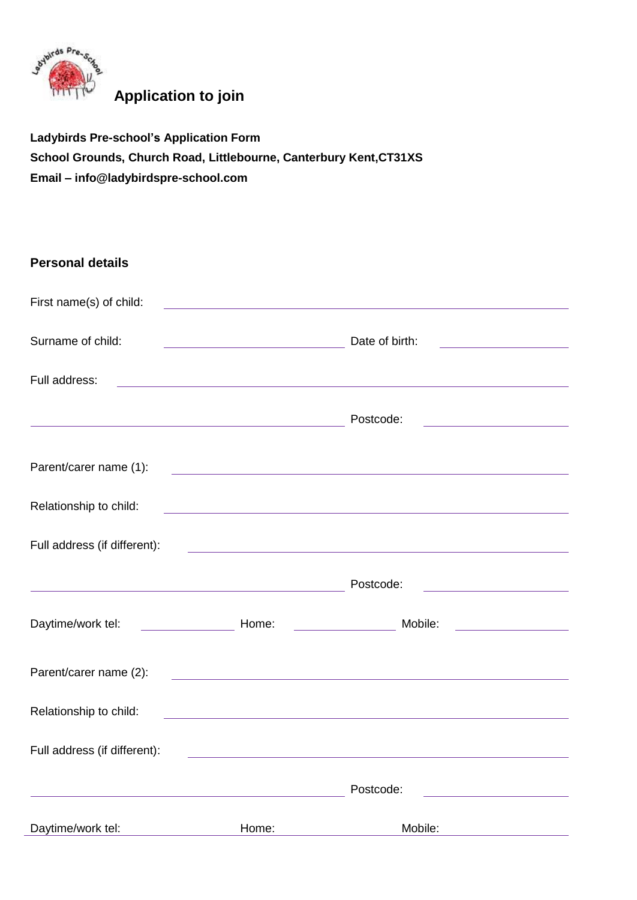

## **Application to join**

**Ladybirds Pre-school's Application Form School Grounds, Church Road, Littlebourne, Canterbury Kent,CT31XS Email – info@ladybirdspre-school.com**

| <b>Personal details</b>                              |                                                                     |                                                                                                                       |                                                                   |
|------------------------------------------------------|---------------------------------------------------------------------|-----------------------------------------------------------------------------------------------------------------------|-------------------------------------------------------------------|
| First name(s) of child:                              |                                                                     | <u> 1989 - Johann Stein, mars an de Britannich (b. 1989)</u>                                                          |                                                                   |
| Surname of child:                                    | <u> 2008 - Andrea Albert III, am bhaile an t-</u>                   | Date of birth:                                                                                                        | <u> 1980 - Andrea Station Books, amerikansk politik (d. 1980)</u> |
| Full address:                                        |                                                                     | and the control of the control of the control of the control of the control of the control of the control of the      |                                                                   |
|                                                      | <u> 1980 - Johann Barbara, martxa alemaniar amerikan basar da a</u> | Postcode:                                                                                                             | <u> 1980 - Johann Barn, mars ann an t-A</u>                       |
| Parent/carer name (1):                               |                                                                     | <u> 1989 - Johann Harry Harry Harry Harry Harry Harry Harry Harry Harry Harry Harry Harry Harry Harry Harry Harry</u> |                                                                   |
| Relationship to child:                               |                                                                     | and the control of the control of the control of the control of the control of the control of the control of the      |                                                                   |
| Full address (if different):                         |                                                                     | <u> 1989 - Andrea Stadt, fransk politik (d. 1989)</u>                                                                 |                                                                   |
| <u> 1989 - Johann Barn, fransk politik (d. 1989)</u> |                                                                     | Postcode:                                                                                                             | <u> 1980 - Johann Barn, mars ann an t-Amhain an t-A</u>           |
| Daytime/work tel:                                    | Home:                                                               | Mobile:                                                                                                               | <u> 1999 - Jan Sterlinger (</u>                                   |
| Parent/carer name (2):                               |                                                                     | <u> Alexandria de la contrada de la contrada de la contrada de la contrada de la contrada de la contrada de la c</u>  |                                                                   |
| Relationship to child:                               |                                                                     | and the control of the control of the control of the control of the control of the control of the control of the      |                                                                   |
| Full address (if different):                         |                                                                     |                                                                                                                       |                                                                   |
|                                                      |                                                                     | Postcode:                                                                                                             |                                                                   |
| Daytime/work tel:                                    | Home:                                                               | Mobile:                                                                                                               |                                                                   |